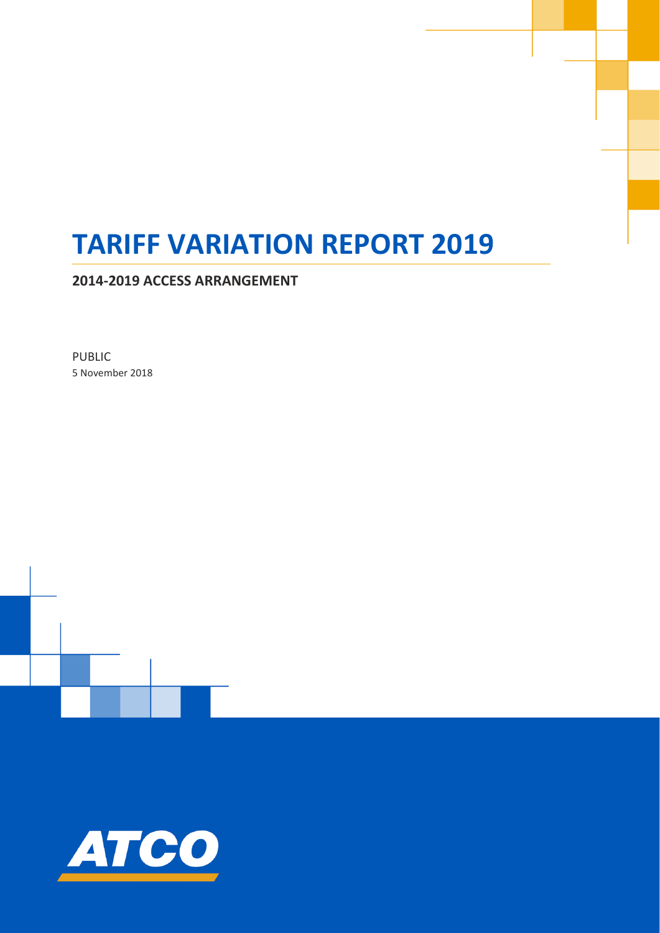# **TARIFF VARIATION REPORT 2019**

**2014-2019 ACCESS ARRANGEMENT**

PUBLIC 5 November 2018

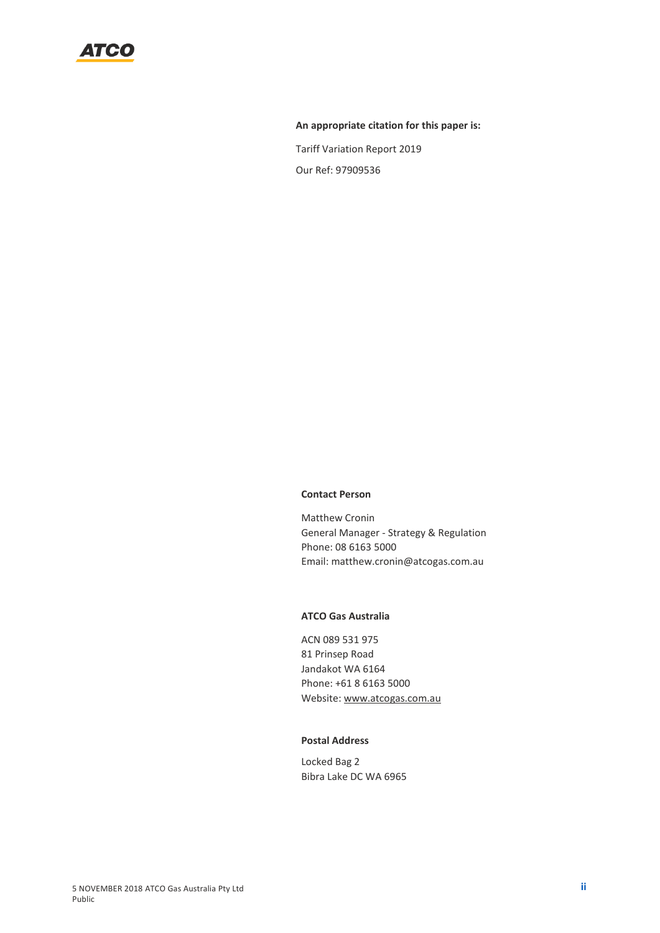

#### **An appropriate citation for this paper is:**

Tariff Variation Report 2019 Our Ref: 97909536

#### **Contact Person**

Matthew Cronin General Manager - Strategy & Regulation Phone: 08 6163 5000 Email: matthew.cronin@atcogas.com.au

#### **ATCO Gas Australia**

ACN 089 531 975 81 Prinsep Road Jandakot WA 6164 Phone: +61 8 6163 5000 Website[: www.atcogas.com.au](http://www.atcogas.com.au/)

#### **Postal Address**

Locked Bag 2 Bibra Lake DC WA 6965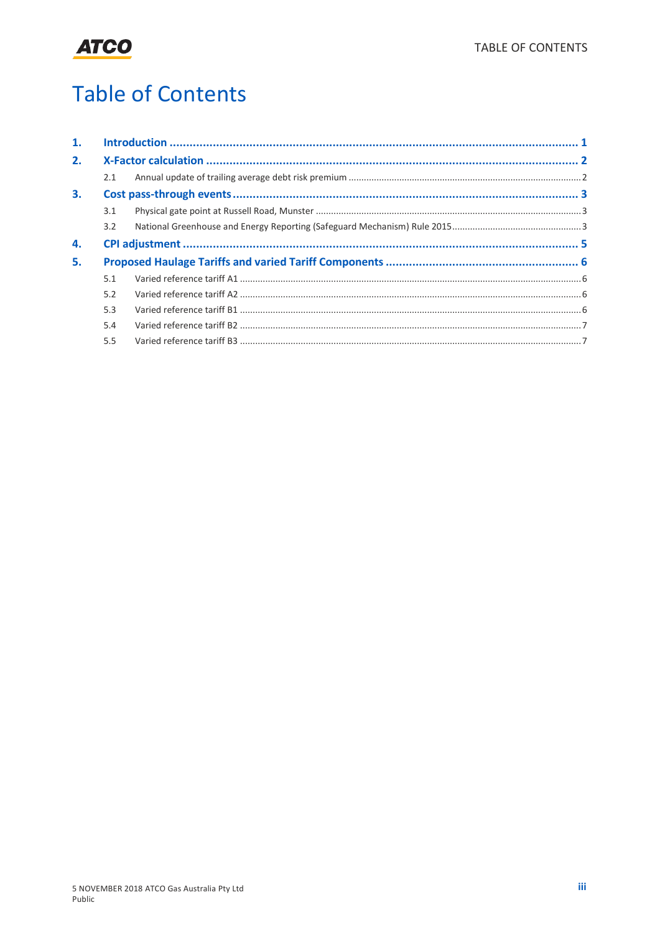

# **Table of Contents**

| 1. |     |  |  |
|----|-----|--|--|
| 2. |     |  |  |
|    | 2.1 |  |  |
| 3. |     |  |  |
|    | 3.1 |  |  |
|    | 3.2 |  |  |
| 4. |     |  |  |
| 5. |     |  |  |
|    | 5.1 |  |  |
|    | 5.2 |  |  |
|    | 5.3 |  |  |
|    | 5.4 |  |  |
|    | 5.5 |  |  |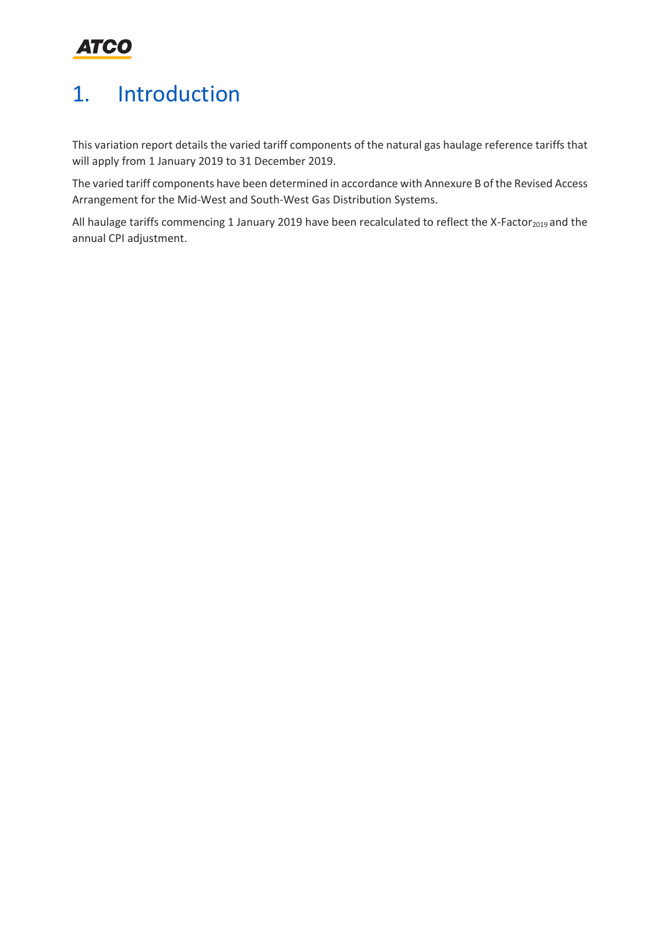

## <span id="page-3-0"></span>1. Introduction

This variation report details the varied tariff components of the natural gas haulage reference tariffs that will apply from 1 January 2019 to 31 December 2019.

The varied tariff components have been determined in accordance with Annexure B of the Revised Access Arrangement for the Mid-West and South-West Gas Distribution Systems.

All haulage tariffs commencing 1 January 2019 have been recalculated to reflect the X-Factor<sub>2019</sub> and the annual CPI adjustment.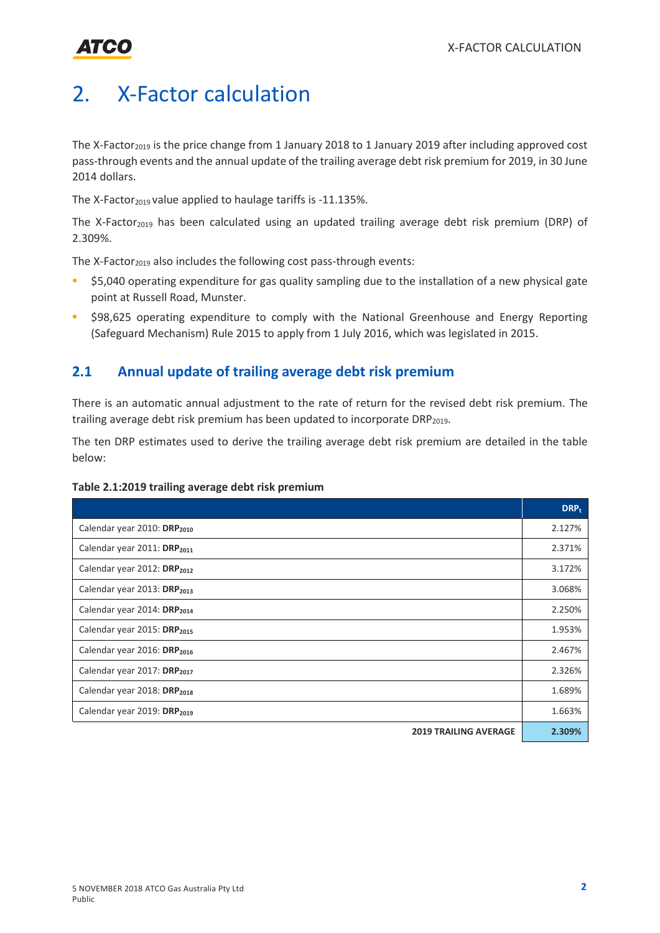

### <span id="page-4-0"></span>2. X-Factor calculation

The X-Factor<sub>2019</sub> is the price change from 1 January 2018 to 1 January 2019 after including approved cost pass-through events and the annual update of the trailing average debt risk premium for 2019, in 30 June 2014 dollars.

The X-Factor<sub>2019</sub> value applied to haulage tariffs is -11.135%.

The X-Factor<sub>2019</sub> has been calculated using an updated trailing average debt risk premium (DRP) of 2.309%.

The X-Factor<sub>2019</sub> also includes the following cost pass-through events:

- \$5,040 operating expenditure for gas quality sampling due to the installation of a new physical gate point at Russell Road, Munster.
- \$98,625 operating expenditure to comply with the National Greenhouse and Energy Reporting (Safeguard Mechanism) Rule 2015 to apply from 1 July 2016, which was legislated in 2015.

#### <span id="page-4-1"></span>**2.1 Annual update of trailing average debt risk premium**

There is an automatic annual adjustment to the rate of return for the revised debt risk premium. The trailing average debt risk premium has been updated to incorporate DRP<sub>2019</sub>.

The ten DRP estimates used to derive the trailing average debt risk premium are detailed in the table below:

| Table 2.1:2019 trailing average debt risk premium |  |  |
|---------------------------------------------------|--|--|
|---------------------------------------------------|--|--|

|                                         | $DRP_t$ |
|-----------------------------------------|---------|
| Calendar year 2010: DRP <sub>2010</sub> |         |
| Calendar year 2011: DRP <sub>2011</sub> | 2.371%  |
| Calendar year 2012: DRP <sub>2012</sub> | 3.172%  |
| Calendar year 2013: DRP <sub>2013</sub> | 3.068%  |
| Calendar year 2014: DRP <sub>2014</sub> | 2.250%  |
| Calendar year 2015: DRP <sub>2015</sub> | 1.953%  |
| Calendar year 2016: DRP <sub>2016</sub> | 2.467%  |
| Calendar year 2017: DRP <sub>2017</sub> | 2.326%  |
| Calendar year 2018: DRP <sub>2018</sub> | 1.689%  |
| Calendar year 2019: DRP <sub>2019</sub> | 1.663%  |
| <b>2019 TRAILING AVERAGE</b>            | 2.309%  |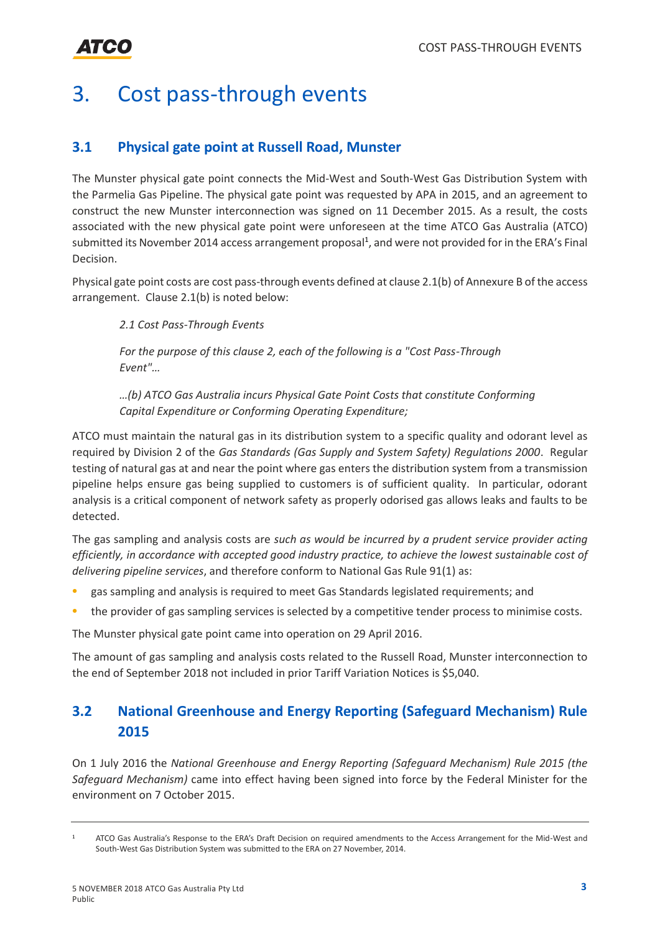# <span id="page-5-0"></span>3. Cost pass-through events

### <span id="page-5-1"></span>**3.1 Physical gate point at Russell Road, Munster**

The Munster physical gate point connects the Mid-West and South-West Gas Distribution System with the Parmelia Gas Pipeline. The physical gate point was requested by APA in 2015, and an agreement to construct the new Munster interconnection was signed on 11 December 2015. As a result, the costs associated with the new physical gate point were unforeseen at the time ATCO Gas Australia (ATCO) submitted its November 2014 access arrangement proposal<sup>1</sup>, and were not provided for in the ERA's Final Decision.

Physical gate point costs are cost pass-through events defined at clause 2.1(b) of Annexure B of the access arrangement. Clause 2.1(b) is noted below:

*2.1 Cost Pass-Through Events* 

*For the purpose of this clause 2, each of the following is a "Cost Pass-Through Event"…* 

*…(b) ATCO Gas Australia incurs Physical Gate Point Costs that constitute Conforming Capital Expenditure or Conforming Operating Expenditure;*

ATCO must maintain the natural gas in its distribution system to a specific quality and odorant level as required by Division 2 of the *Gas Standards (Gas Supply and System Safety) Regulations 2000*. Regular testing of natural gas at and near the point where gas enters the distribution system from a transmission pipeline helps ensure gas being supplied to customers is of sufficient quality. In particular, odorant analysis is a critical component of network safety as properly odorised gas allows leaks and faults to be detected.

The gas sampling and analysis costs are *such as would be incurred by a prudent service provider acting efficiently, in accordance with accepted good industry practice, to achieve the lowest sustainable cost of delivering pipeline services*, and therefore conform to National Gas Rule 91(1) as:

- gas sampling and analysis is required to meet Gas Standards legislated requirements; and
- the provider of gas sampling services is selected by a competitive tender process to minimise costs.

The Munster physical gate point came into operation on 29 April 2016.

The amount of gas sampling and analysis costs related to the Russell Road, Munster interconnection to the end of September 2018 not included in prior Tariff Variation Notices is \$5,040.

### <span id="page-5-2"></span>**3.2 National Greenhouse and Energy Reporting (Safeguard Mechanism) Rule 2015**

On 1 July 2016 the *National Greenhouse and Energy Reporting (Safeguard Mechanism) Rule 2015 (the Safeguard Mechanism)* came into effect having been signed into force by the Federal Minister for the environment on 7 October 2015.

<sup>1</sup> ATCO Gas Australia's Response to the ERA's Draft Decision on required amendments to the Access Arrangement for the Mid-West and South-West Gas Distribution System was submitted to the ERA on 27 November, 2014.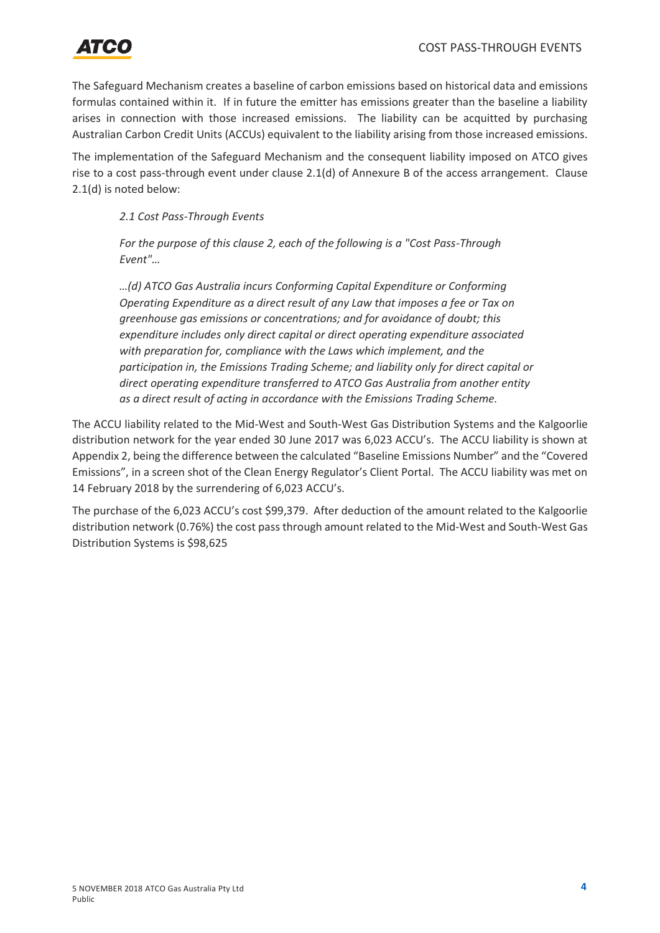

The Safeguard Mechanism creates a baseline of carbon emissions based on historical data and emissions formulas contained within it. If in future the emitter has emissions greater than the baseline a liability arises in connection with those increased emissions. The liability can be acquitted by purchasing Australian Carbon Credit Units (ACCUs) equivalent to the liability arising from those increased emissions.

The implementation of the Safeguard Mechanism and the consequent liability imposed on ATCO gives rise to a cost pass-through event under clause 2.1(d) of Annexure B of the access arrangement. Clause 2.1(d) is noted below:

*2.1 Cost Pass-Through Events* 

*For the purpose of this clause 2, each of the following is a "Cost Pass-Through Event"…* 

*…(d) ATCO Gas Australia incurs Conforming Capital Expenditure or Conforming Operating Expenditure as a direct result of any Law that imposes a fee or Tax on greenhouse gas emissions or concentrations; and for avoidance of doubt; this expenditure includes only direct capital or direct operating expenditure associated with preparation for, compliance with the Laws which implement, and the participation in, the Emissions Trading Scheme; and liability only for direct capital or direct operating expenditure transferred to ATCO Gas Australia from another entity as a direct result of acting in accordance with the Emissions Trading Scheme.*

The ACCU liability related to the Mid-West and South-West Gas Distribution Systems and the Kalgoorlie distribution network for the year ended 30 June 2017 was 6,023 ACCU's. The ACCU liability is shown at Appendix 2, being the difference between the calculated "Baseline Emissions Number" and the "Covered Emissions", in a screen shot of the Clean Energy Regulator's Client Portal. The ACCU liability was met on 14 February 2018 by the surrendering of 6,023 ACCU's.

The purchase of the 6,023 ACCU's cost \$99,379. After deduction of the amount related to the Kalgoorlie distribution network (0.76%) the cost pass through amount related to the Mid-West and South-West Gas Distribution Systems is \$98,625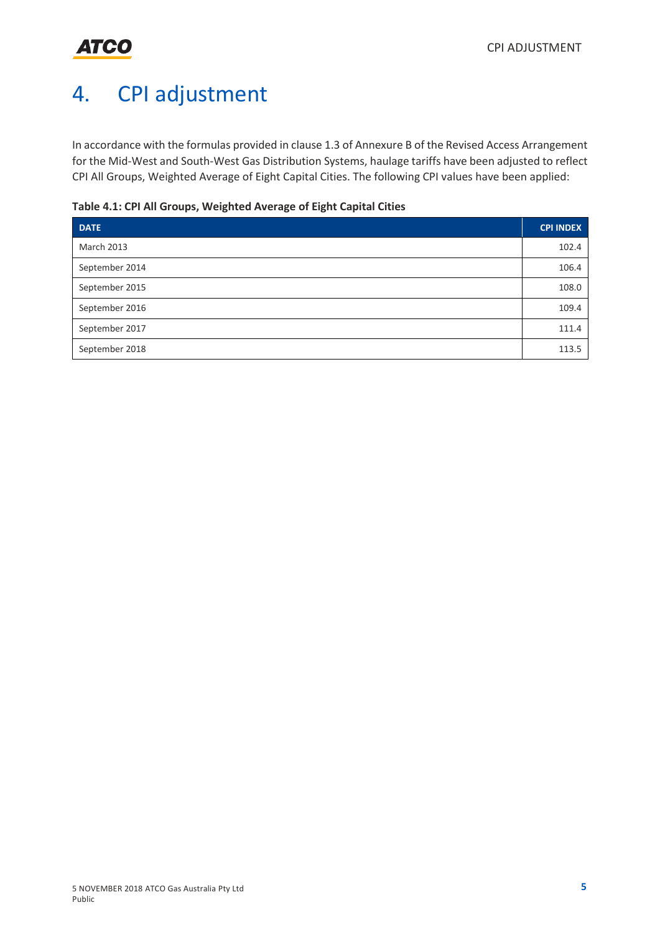# <span id="page-7-0"></span>4. CPI adjustment

In accordance with the formulas provided in clause 1.3 of Annexure B of the Revised Access Arrangement for the Mid-West and South-West Gas Distribution Systems, haulage tariffs have been adjusted to reflect CPI All Groups, Weighted Average of Eight Capital Cities. The following CPI values have been applied:

#### **Table 4.1: CPI All Groups, Weighted Average of Eight Capital Cities**

| <b>DATE</b>       | <b>CPI INDEX</b> |
|-------------------|------------------|
| <b>March 2013</b> | 102.4            |
| September 2014    | 106.4            |
| September 2015    | 108.0            |
| September 2016    | 109.4            |
| September 2017    | 111.4            |
| September 2018    | 113.5            |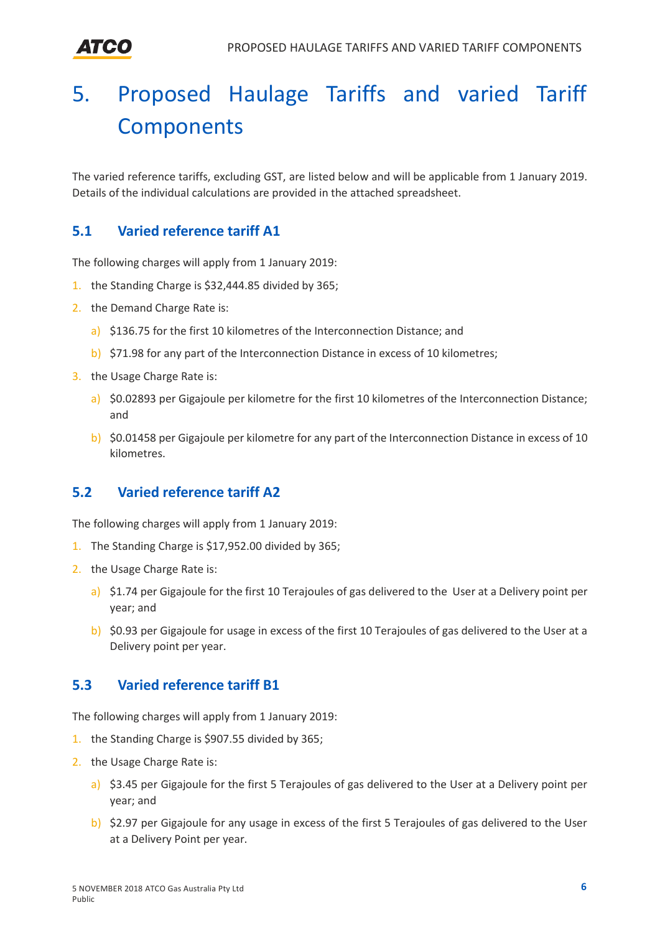Атео

# <span id="page-8-0"></span>5. Proposed Haulage Tariffs and varied Tariff **Components**

The varied reference tariffs, excluding GST, are listed below and will be applicable from 1 January 2019. Details of the individual calculations are provided in the attached spreadsheet.

### <span id="page-8-1"></span>**5.1 Varied reference tariff A1**

The following charges will apply from 1 January 2019:

- 1. the Standing Charge is \$32,444.85 divided by 365;
- 2. the Demand Charge Rate is:
	- a) \$136.75 for the first 10 kilometres of the Interconnection Distance; and
	- b) \$71.98 for any part of the Interconnection Distance in excess of 10 kilometres;
- 3. the Usage Charge Rate is:
	- a) \$0.02893 per Gigajoule per kilometre for the first 10 kilometres of the Interconnection Distance; and
	- b) \$0.01458 per Gigajoule per kilometre for any part of the Interconnection Distance in excess of 10 kilometres.

### <span id="page-8-2"></span>**5.2 Varied reference tariff A2**

The following charges will apply from 1 January 2019:

- 1. The Standing Charge is \$17,952.00 divided by 365;
- 2. the Usage Charge Rate is:
	- a) \$1.74 per Gigajoule for the first 10 Terajoules of gas delivered to the User at a Delivery point per year; and
	- b) \$0.93 per Gigajoule for usage in excess of the first 10 Terajoules of gas delivered to the User at a Delivery point per year.

### <span id="page-8-3"></span>**5.3 Varied reference tariff B1**

The following charges will apply from 1 January 2019:

- 1. the Standing Charge is \$907.55 divided by 365;
- 2. the Usage Charge Rate is:
	- a) \$3.45 per Gigajoule for the first 5 Terajoules of gas delivered to the User at a Delivery point per year; and
	- b) \$2.97 per Gigajoule for any usage in excess of the first 5 Terajoules of gas delivered to the User at a Delivery Point per year.